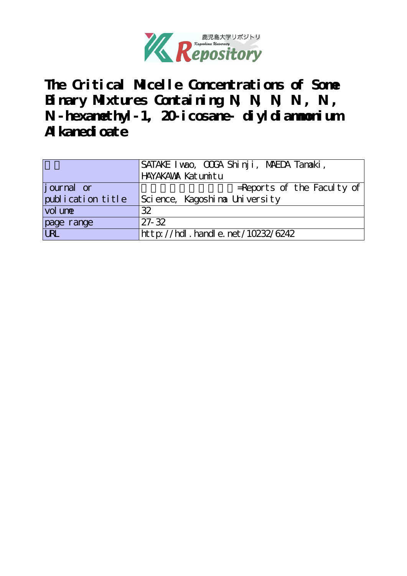

**The Critical Micelle Concentrations of Some** Binary Mixtures Containing N, N, N, N, N, **N'-hexamethyl-1, 20-icosane- diyldiammonium Alkanedioate**

|                   | SATAKE I wao, OOGA Shinji, MAEDA Tanaaki, |
|-------------------|-------------------------------------------|
|                   | HAYAKAWA Katumitu                         |
| journal or        | $=$ Reports of the Faculty of             |
| publication title | Science, Kagoshina University             |
| vol une           | 32                                        |
| page range        | $27 - 32$                                 |
| URL               | http://hdl.handle.net/10232/6242          |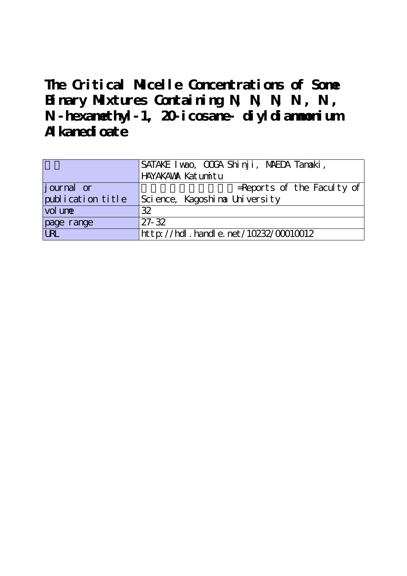**The Critical Micelle Concentrations of Some** Binary Mixtures Containing N, N, N, N, N, **N'-hexamethyl-1, 20-icosane- diyldiammonium Alkanedioate**

|                   | SATAKE I wao, OOGA Shinji, MAEDA Tanaaki, |
|-------------------|-------------------------------------------|
|                   | HAYAKAWA Katumitu                         |
| journal or        | $=$ Reports of the Faculty of             |
| publication title | Science, Kagoshina University             |
| vol une           | 32                                        |
| page range        | $27 - 32$                                 |
|                   | http://hdl.handle.net/10232/00010012      |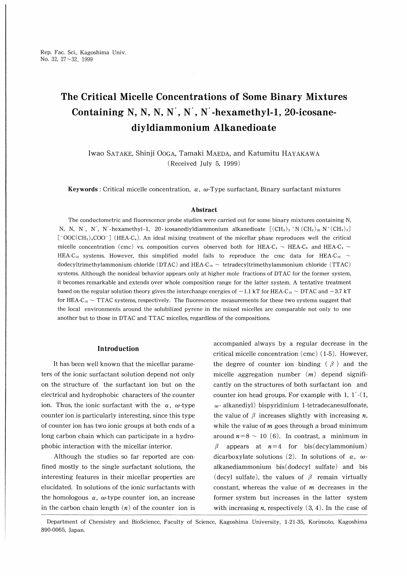Rep. Fac. Sci., Kagoshima Univ. No. 32, 27~32, 1999

# The Critical Micelle Concentrations of Some Binary Mixtures Containing N, N, N, N', N', N'-hexamethyl-1, 20-icosanediyldiammonium Alkanedioate

Iwao SATAKE, Shinji Ooga, Tamaki MAEDA, and Katumitu HAYAKAWA (Received July 5, 1999)

Keywords : Critical micelle concentration,  $\alpha$ ,  $\omega$ -Type surfactant, Binary surfactant mixtures

#### Abstract

The conductometric and fluorescence probe studies were carried out for some binary mixtures containing N, N, N, N', N', N'-hexamethyl-1, 20-icosanediyldiammonium alkanedioate  $[(CH_3)_3 \nmid N (CH_2)_{20} N^+(CH_3)_3]$  $\lceil$  OOC(CH<sub>2</sub>)<sub>n</sub>COO<sup>-</sup> [HEA-C<sub>n</sub>). An ideal mixing treatment of the micellar phase reproduces well the critical micelle concentration (cmc) vs. composition curves observed both for HEA-C<sub>4</sub>  $\sim$  HEA-C<sub>6</sub> and HEA-C<sub>4</sub>  $\sim$ HEA-C<sub>10</sub> systems. However, this simplified model fails to reproduce the cmc data for HEA-C<sub>10</sub>  $\sim$ dodecyltrimethylammonium chloride (DTAC) and HEA-C<sub>10</sub>  $\sim$  tetradecyltrimethylammonium chloride (TTAC) systems. Although the nonideal behavior appears only at higher mole fractions of DTAC for the former system, it becomes remarkable and extends over whole composition range for the latter system. A tentative treatment based on the regular solution theory gives the interchange energies of  $-1.1$  kT for HEA-C<sub>10</sub>  $\sim$  DTAC and  $-3.7$  kT for HEA-C<sub>10</sub>  $\sim$  TTAC systems, respectively. The fluorescence measurements for these two systems suggest that the local environments around the solubilized pyrene in the mixed micelles are comparable not only to one another but to those in DTAC and TTAC micelles, regardless of the compositions.

## Introduction

It has been well known that the micellar parameters of the ionic surfactant solution depend not only on the structure of the surfactant ion but on the electrical and hydrophobic characters of the counter ion. Thus, the ionic surfactant with the  $\alpha$ ,  $\omega$ -type counter ion is particularly interesting, since this type of counter ion has two ionic groups at both ends of a long carbon chain which can participate in a hydrophobic interaction with the micellar interior.

Although the studies so far reported are confined mostly to the single surfactant solutions, the interesting features in their micellar properties are elucidated. In solutions of the ionic surfactants with the homologous  $\alpha$ ,  $\omega$ -type counter ion, an increase in the carbon chain length  $(n)$  of the counter ion is accompanied always by a regular decrease in the critical micelle concentration (cmc) ( 1-5). However, the degree of counter ion binding ( $\beta$ ) and the micelle aggregation number  $(m)$  depend significantly on the structures of both surfactant ion and counter ion head groups. For example with 1,  $1'$ - $(1, 1)$  $\omega$  - alkanediyl) bispyridinium 1-tetradecanesulfonate, the value of  $\beta$  increases slightly with increasing *n*, while the value of  *goes through a broad minimum* around  $n=8 \sim 10$  (6). In contrast, a minimum in  $\beta$  appears at  $n=4$  for bis(decylammonium) dicarboxylate solutions (2). In solutions of  $\alpha$ ,  $\omega$ alkanediammonium bis(dodecyl sulfate) and bis (decyl sulfate), the values of  $\beta$  remain virtually constant, whereas the value of  $m$  decreases in the former system but increases in the latter system with increasing *n*, respectively  $(3, 4)$ . In the case of

Department of Chemistry and BioScience, Faculty of Science, Kagoshima University, 1-21-35, Korimoto, Kagoshima 890-0065, Japan.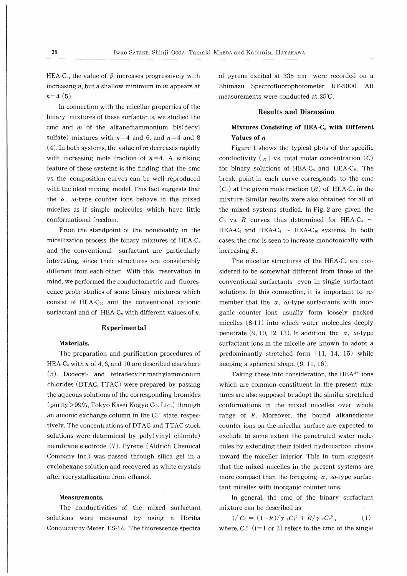HEA-C<sub>n</sub>, the value of  $\beta$  increases progressively with increasing  $n$ , but a shallow minimum in  $m$  appears at  $n=4(5)$ .

In connection with the micellar properties of the binary mixtures of these surfactants, we studied the cmc and  $m$  of the alkanediammonium bis(decyl) sulfate) mixtures with  $n=4$  and 6, and  $n=4$  and 8  $(4)$ . In both systems, the value of *m* decreases rapidly with increasing mole fraction of  $n=4$ . A striking feature of these systems is the finding that the cmc vs. the composition curves can be well reproduced with the ideal mixing model. This fact suggests that the  $\alpha$ ,  $\omega$ -type counter ions behave in the mixed micelles as if simple molecules which have little conformational freedom.

From the standpoint of the nonideality in the micellization process, the binary mixtures of HEA- $C_{n}$ and the conventional surfactant are particularly interesting, since their structures are considerably different from each other. With this reservation in mind, we performed the conductometric and fluorescence probe studies of some binary mixtures which consist of HEA-Cio and the conventional cationic surfactant and of HEA-C<sub>n</sub> with different values of  $n$ .

## Experimental

### Materials.

The preparation and purification procedures of HEA-C<sub>n</sub> with n of 4, 6, and 10 are described elsewhere (5). Dodecyl- and tetradecyltrimethylammonium chlorides (DTAC, TTAC) were prepared by passing the aqueous solutions of the corresponding bromides (purity>99%, Tokyo Kasei Kogyo Co. Ltd.) through an anionic exchange column in the  $Cl^-$  state, respectively. The concentrations of DTAC and TTAC stock solutions were determined by poly(vinyl chloride) membrane electrode (7). Pyrene (Aldrich Chemical Company Inc.) was passed through silica gel in a cyclohexane solution and recovered as white crystals after recrystallization from ethanol.

#### Measurements.

The conductivities of the mixed surfactant solutions were measured by using a Horiba Conductivity Meter ES-14. The fluorescence spectra

of pyrene excited at 335 nm were recorded on Shimazu Spectrofluorophotometer RF-5000. All measurements were conducted at 25℃.

## Results and Discussion

# Mixtures Consisting of HEA- $C_n$  with Different Values of n

Figure 1 shows the typical plots of the specific conductivity  $\kappa$  ) vs. total molar concentration  $(C)$ for binary solutions of HEA-C<sub>4</sub> and HEA-C<sub>6</sub>. The break point in each curve corresponds to the cmc  $(C_0)$  at the given mole fraction  $(R)$  of HEA-C<sub>4</sub> in the mixture. Similar results were also obtained for all of the mixed systems studied. In Fig. 2 are given the  $C_0$  vs. R curves thus determined for HEA-C<sub>4</sub>  $\sim$ HEA-C<sub>6</sub> and HEA-C<sub>4</sub>  $\sim$  HEA-C<sub>10</sub> systems. In both cases, the cmc is seen to increase monotonically with increasing R.

The micellar structures of the HEA- $C_n$  are considered to be somewhat different from those of the conventional surfactants even in single surfactant solutions. In this connection, it is important to remember that the  $\alpha$ ,  $\omega$ -type surfactants with inorganic counter ions usually form loosely packed micelles (8-ll) into which water molecules deeply penetrate (9, 10, 12, 13). In addition, the  $\alpha$ ,  $\omega$ -type surfactant ions in the micelle are known to adopt a predominantly stretched form  $(11, 14, 15)$  while keeping a spherical shape (9, ll, 16).

Taking these into consideration, the  $HEA^{2+}$  ions which are common constituent in the present mixtures are also supposed to adopt the similar stretched conformations in the mixed micelles over whole range of  $R$ . Moreover, the bound alkanedioate counter ions on the micellar surface are expected to exclude to some extent the penetrated water molecules by extending their folded hydrocarbon chains toward the miceller interior. This in turn suggests that the mixed micelles in the present systems are more compact than the foregoing  $\alpha$ ,  $\omega$ -type surfactant micelles with inorganic counter ions.

In general, the cmc of the binary surfactant mixture can be described as

 $1/\,C_0=(1-R)/\gamma_1C_1^0+R/\gamma_2C_2^0$ , (1) where,  $C_i^0$  (i=1 or 2) refers to the cmc of the single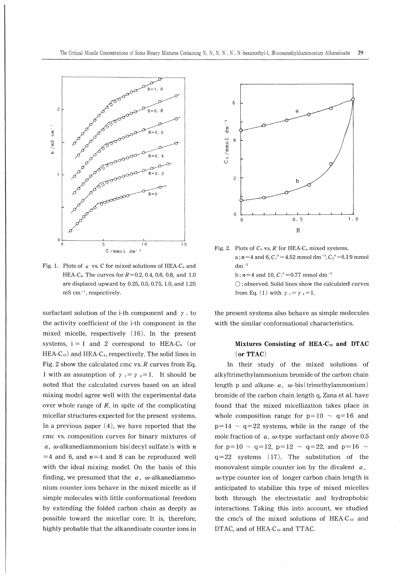

Fig. 1. Plots of  $\kappa$  vs. C for mixed solutions of HEA-C<sub>4</sub> and HEA-C<sub>6</sub>. The curves for  $R=0.2, 0.4, 0.6, 0.8,$  and 1.0 are displaced upward by 0.25, 0.5, 0.75, 1.0, and 1.25 mS cm<sup>-1</sup>, respectively.

surfactant solution of the i-th component and  $\gamma_i$  to the activity coefficient of the i-th component in the mixed micelle, respectively (16). In the present systems,  $i = 1$  and 2 correspond to HEA-C<sub>6</sub> (or  $HEA-C<sub>10</sub>$  and  $HEA-C<sub>4</sub>$ , respectively. The solid lines in Fig. 2 show the calculated cmc vs.  $R$  curves from Eq. 1 with an assumption of  $\gamma_1 = \gamma_2 = 1$ . It should be noted that the calculated curves based on an ideal mixing model agree well with the experimental data over whole range of  $R$ , in spite of the complicating micellar structures expected for the present systems. In a previous paper  $(4)$ , we have reported that the cmc vs. composition curves for binary mixtures of  $\alpha$ ,  $\omega$ -alkanediammonium bis(decyl sulfate)s with n  $=$  4 and 6, and  $n=$  4 and 8 can be reproduced well with the ideal mixing model. On the basis of this finding, we presumed that the  $\alpha$ ,  $\omega$ -alkanediammonium counter ions behave in the mixed micelle as if simple molecules with little conformational freedom by extending the folded carbon chain as deeply as possible toward the micellar core. It is, therefore, highly probable that the alkanedioate counter ions in



Fig. 2. Plots of  $C_0$  vs. R for HEA-C<sub>n</sub> mixed systems. a;  $n=4$  and 6,  $C_1^0=4.52$  mmoldm<sup>-3</sup>,  $C_2^0=6.19$  mmol  $dm^{-3}$ b;  $n=4$  and 10,  $C_1^0$  = 0.77 mmoldm<sup>-3</sup>  $\bigcirc$ ; observed. Solid lines show the calculated curves from Eq. (1) with  $\gamma_1 = \gamma_2 = 1$ .

the present systems also behave as simple molecules with the similar conformational characteristics.

## Mixtures Consisting of HEA- $C_{10}$  and DTAC or TTAC

In their study of the mixed solutions of alkyltrimethylammonium bromide of the carbon chain length p and alkane- $\alpha$ ,  $\omega$ -bis(trimethylammonium) bromide of the carbon chain length q, Zana et al. have found that the mixed micellization takes place in whole composition range for  $p=10 \sim q=16$  and  $p=14 \sim q=22$  systems, while in the range of the mole fraction of  $\alpha$ ,  $\omega$ -type surfactant only above 0.5 for p=10  $\sim$  q=12, p=12  $\sim$  q=22, and p=16  $\sim$  $q=22$  systems (17). The substitution of the monovalent simple counter ion by the divalent  $\alpha$ ,  $\omega$ -type counter ion of longer carbon chain length is anticipated to stabilize this type of mixed micelles both through the electrostatic and hydrophobic interactions. Taking this into account, we studied the cmc's of the mixed solutions of HEA-Cio and DTAC, and of HEA-C<sub>10</sub> and TTAC.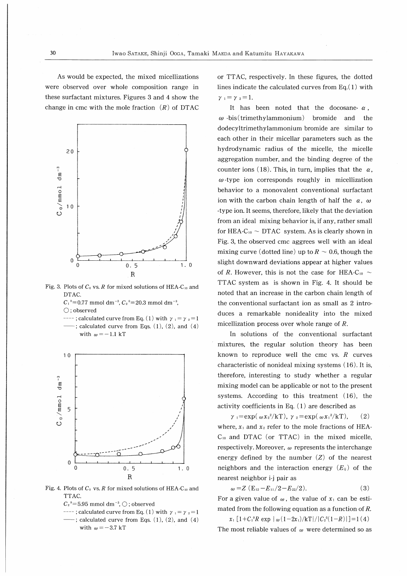As would be expected, the mixed micellizations were observed over whole composition range in these surfactant mixtures. Figures 3 and 4 show the change in cmc with the mole fraction  $(R)$  of DTAC



Fig. 3. Plots of  $C_0$  vs. R for mixed solutions of HEA-C<sub>10</sub> and DTAC.

 $C_1^0$ =0.77 mmol dm<sup>-3</sup>,  $C_2^0$ =20.3 mmol dm<sup>-3</sup>, ○; observed

 $---$ ; calculated curve from Eq. (1) with  $\gamma_1 = \gamma_2 = 1$  $-$ ; calculated curve from Eqs.  $(1)$ ,  $(2)$ , and  $(4)$ with  $\omega = -1.1$  kT



Fig. 4. Plots of  $C_0$  vs. R for mixed solutions of HEA-C<sub>10</sub> and TTAC.

- $C_2$ <sup>0</sup>=5.95 mmol dm<sup>-3</sup>,  $\bigcirc$ ; observed
- ----; calculated curve from Eq. (1) with  $\gamma_1 = \gamma_2 = 1$  $-$ ; calculated curve from Eqs.  $(1)$ ,  $(2)$ , and  $(4)$ with  $\omega = -3.7$  kT

or TTAC, respectively. In these figures, the dotted lines indicate the calculated curves from  $Eq.(1)$  with  $\gamma_1=\gamma_2=1.$ 

It has been noted that the docosane-  $\alpha$ ,  $\omega$ -bis(trimethylammonium) bromide and the dodecyltrimethylammonium bromide are similar to each other in their micellar parameters such as the hydrodynamic radius of the micelle, the micelle aggregation number, and the binding degree of the counter ions (18). This, in turn, implies that the  $\alpha$ ,  $\omega$ -type ion corresponds roughly in micellization behavior to a monovalent conventional surfactant ion with the carbon chain length of half the  $\alpha$ ,  $\omega$ -type ion. It seems, therefore, likely that the deviation from an ideal mixing behavior is, if any, rather small for HEA-C<sub>10</sub>  $\sim$  DTAC system. As is clearly shown in Fig. 3, the observed cmc aggrees well with an ideal mixing curve (dotted line) up to  $R \sim 0.6$ , though the slight downward deviations appear at higher values of R. However, this is not the case for HEA-C<sub>10</sub>  $\sim$ TTAC system as is shown in Fig. 4. It should be noted that an increase in the carbon chain length of the conventional surfactant ion as small as 2 introduces a remarkable nonideality into the mixed micellization process over whole range of  $R$ .

In solutions of the conventional surfactant mixtures, the regular solution theory has been known to reproduce well the cmc vs.  $R$  curves characteristic of nonideal mixing systems ( 16). It is, therefore, interesting to study whether a regular mixing model can be applicable or not to the present systems. According to this treatment (16), the activity coefficients in Eq. ( 1) are described as

 $\gamma_1 = \exp(\omega x_2^2/kT), \gamma_2 = \exp(\omega x_1^2/kT),$  (2) where,  $x_1$  and  $x_2$  refer to the mole fractions of HEA-Ci。 and DTAC (or TTAC) in the mixed micelle, respectively. Moreover,  $\omega$  represents the interchange energy defined by the number  $(Z)$  of the nearest neighbors and the interaction energy  $(E_{ij})$  of the nearest neighbor i-j pair as

$$
\omega = Z (E_{12} - E_{11}/2 - E_{22}/2). \tag{3}
$$

For a given value of  $\omega$ , the value of  $x_1$  can be estimated from the following equation as a function of *.* 

 $x_1$   $[1+C_1^0R$  exp  $\omega(1-2x_1)/kT$   $C_2^0(1-R)$   $] = 1(4)$ The most reliable values of  $\omega$  were determined so as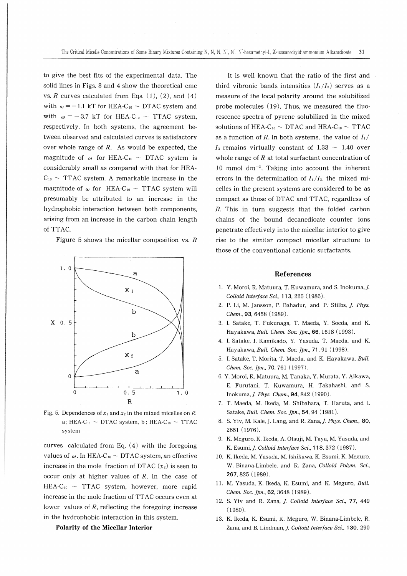to give the best fits of the experimental data. The solid lines in Figs. 3 and 4 show the theoretical cmc vs.  $R$  curves calculated from Eqs.  $(1)$ ,  $(2)$ , and  $(4)$ with  $\omega = -1.1$  kT for HEA-C<sub>10</sub>  $\sim$  DTAC system and with  $\omega = -3.7$  kT for HEA-C<sub>10</sub>  $\sim$  TTAC system, respectively. In both systems, the agreement between observed and calculated curves is satisfactory over whole range of  $R$ . As would be expected, the magnitude of  $\omega$  for HEA-C<sub>10</sub> ~ DTAC system is considerably small as compared with that for HEA- $C_{10}$  ~ TTAC system. A remarkable increase in the magnitude of  $\omega$  for HEA-C<sub>10</sub> ~ TTAC system will presumably be attributed to an increase in the hydrophobic interaction between both components, arising from an increase in the carbon chain length of TTAC.

Figure 5 shows the micellar composition vs.  $R$ 



Fig. 5. Dependences of  $x_1$  and  $x_2$  in the mixed micelles on R. a; HEA-C<sub>10</sub>  $\sim$  DTAC system, b; HEA-C<sub>10</sub>  $\sim$  TTAC system

curves calculated from Eq. (4) with the foregoing values of  $\omega$ . In HEA-C<sub>10</sub>  $\sim$  DTAC system, an effective increase in the mole fraction of DTAC  $(x_2)$  is seen to occur only at higher values of  $R$ . In the case of  $HEA-C_{10} \sim TTAC$  system, however, more rapid increase in the mole fraction of TTAC occurs even at lower values of  $R$ , reflecting the foregoing increase in the hydrophobic interaction in this system.

## Polarity of the Micellar Interior

It is well known that the ratio of the first and third vibronic bands intensities  $(I_1/I_3)$  serves as a measure of the local polarity around the solubilized probe molecules (19). Thus, we measured the fluorescence spectra of pyrene solubilized in the mixed solutions of HEA-C<sub>10</sub>  $\sim$  DTAC and HEA-C<sub>10</sub>  $\sim$  TTAC as a function of R. In both systems, the value of  $I_1/$  $I_3$  remains virtually constant of 1.33  $\sim$  1.40 over whole range of  $R$  at total surfactant concentration of 10 mmol  $dm^{-3}$ . Taking into account the inherent errors in the determination of  $I_1/I_3$ , the mixed micelles in the present systems are considered to be as compact as those of DTAC and TTAC, regardless of R. This in turn suggests that the folded carbon chains of the bound decanedioate counter ions penetrate effectively into the micellar interior to give rise to the similar compact micellar structure to those of the conventional cationic surfactants.

### References

- 1. Y. Moroi, R. Matuura, T. Kuwamura, and S. Inokuma,/ Colloid Interface Sci., 113, 225 (1986).
- 2. P. Li, M. Jansson, P. Bahadur, and P. Stilbs, /. Phys. Chem., 93, 6458 (1989).
- 3. I. Satake, T. Fukunaga, T. Maeda, Y. Soeda, and K. Hayakawa, Bull Chem. Soc. Jpn., 66, 1618 (1993).
- 4. I. Satake, J. Kamikado, Y. Yasuda, T. Maeda, and K. Hayakawa, Bull. Chem. Soc. Jpn., 71, 91 (1998).
- 5. I. Satake, T. Morita, T. Maeda, and K. Hayakawa, Bull Chem. Soc. Jpn., 70, 761 (1997).
- 6. Y. Moroi, R. Matuura, M. Tanaka, Y. Murata, Y. Aikawa, E. Furutani, T. Kuwamura, H. Takahashi, and S. Inokuma, *I. Phys. Chem.*, **94**, 842 (1990).
- 7. T. Maeda, M. Ikeda, M. Shibahara, T. Haruta, and I. Satake, Bull. Chem. Soc. Jpn., 54, 94 (1981).
- 8. S. Yiv, M. Kale, J. Lang, and R. Zana, J. Phys. Chem., 80, 2651 (1976).
- 9. K. Meguro, K. Ikeda, A. Otsuji, M. Taya, M. Yasuda, and K. Esumi, J. Colloid Interface Sci., 118, 372 (1987).
- 10. K. Ikeda, M. Yasuda, M. Ishikawa, K. Esumi, K. Meguro, W. Binana-Limbele, and R. Zana, Colloid Polym. Sci., 267,825 1989.
- 11. M. Yasuda, K. Ikeda, K. Esumi, and K. Meguro, Bull. Chem. Soc. Ipn., 62, 3648 (1989).
- 12. S. Yiv and R. Zana, J. Colloid Interface Sci., 77, 449 (1980).
- 13. K. Ikeda, K. Esumi, K. Meguro, W. Binana-Limbele, R. Zana, and B. Lindman, J. Colloid Interface Sci., 130, 290